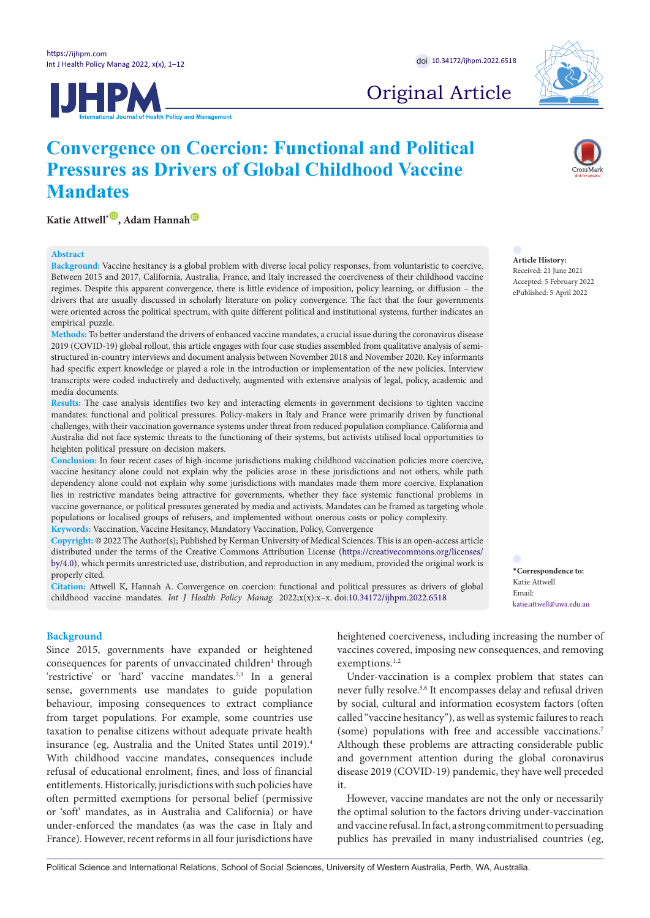**Katie Attwell**<sup>[\\*](#page-0-0) **D**, Adam Hannah **D**</sup>

**Mandates** 

**Abstract**

**IJHPM** 



# Original Article

#### **Article History:**

Received: 21 June 2021 Accepted: 5 February 2022 ePublished: 5 April 2022

<span id="page-0-0"></span>**\*Correspondence to:** Katie Attwell Email:

katie.attwell@uwa.edu.au

**Background:** Vaccine hesitancy is a global problem with diverse local policy responses, from voluntaristic to coercive. Between 2015 and 2017, California, Australia, France, and Italy increased the coerciveness of their childhood vaccine regimes. Despite this apparent convergence, there is little evidence of imposition, policy learning, or diffusion – the drivers that are usually discussed in scholarly literature on policy convergence. The fact that the four governments were oriented across the political spectrum, with quite different political and institutional systems, further indicates an empirical puzzle.

**Convergence on Coercion: Functional and Political Pressures as Drivers of Global Childhood Vaccine** 

**Methods:** To better understand the drivers of enhanced vaccine mandates, a crucial issue during the coronavirus disease 2019 (COVID-19) global rollout, this article engages with four case studies assembled from qualitative analysis of semistructured in-country interviews and document analysis between November 2018 and November 2020. Key informants had specific expert knowledge or played a role in the introduction or implementation of the new policies. Interview transcripts were coded inductively and deductively, augmented with extensive analysis of legal, policy, academic and media documents.

**Results:** The case analysis identifies two key and interacting elements in government decisions to tighten vaccine mandates: functional and political pressures. Policy-makers in Italy and France were primarily driven by functional challenges, with their vaccination governance systems under threat from reduced population compliance. California and Australia did not face systemic threats to the functioning of their systems, but activists utilised local opportunities to heighten political pressure on decision makers.

**Conclusion:** In four recent cases of high-income jurisdictions making childhood vaccination policies more coercive, vaccine hesitancy alone could not explain why the policies arose in these jurisdictions and not others, while path dependency alone could not explain why some jurisdictions with mandates made them more coercive. Explanation lies in restrictive mandates being attractive for governments, whether they face systemic functional problems in vaccine governance, or political pressures generated by media and activists. Mandates can be framed as targeting whole populations or localised groups of refusers, and implemented without onerous costs or policy complexity. **Keywords:** Vaccination, Vaccine Hesitancy, Mandatory Vaccination, Policy, Convergence

**Copyright:** © 2022 The Author(s); Published by Kerman University of Medical Sciences. This is an open-access article distributed under the terms of the Creative Commons Attribution License [\(https://creativecommons.org/licenses/](https://creativecommons.org/licenses/by/4.0/) [by/4.0\)](https://creativecommons.org/licenses/by/4.0/), which permits unrestricted use, distribution, and reproduction in any medium, provided the original work is properly cited.

**Citation:** Attwell K, Hannah A. Convergence on coercion: functional and political pressures as drivers of global childhood vaccine mandates. *Int J Health Policy Manag.* 2022;x(x):x–x. doi[:10.34172/ijhpm.2022.6518](https://doi.org/10.34172/ijhpm.2022.6518)

#### **Background**

Since 2015, governments have expanded or heightened consequences for parents of unvaccinated children<sup>1</sup> through 'restrictive' or 'hard' vaccine mandates.<sup>2,3</sup> In a general sense, governments use mandates to guide population behaviour, imposing consequences to extract compliance from target populations. For example, some countries use taxation to penalise citizens without adequate private health insurance (eg, Australia and the United States until 2019).4 With childhood vaccine mandates, consequences include refusal of educational enrolment, fines, and loss of financial entitlements. Historically, jurisdictions with such policies have often permitted exemptions for personal belief (permissive or 'soft' mandates, as in Australia and California) or have under-enforced the mandates (as was the case in Italy and France). However, recent reforms in all four jurisdictions have heightened coerciveness, including increasing the number of vaccines covered, imposing new consequences, and removing exemptions.<sup>1,2</sup>

Under-vaccination is a complex problem that states can never fully resolve.5,6 It encompasses delay and refusal driven by social, cultural and information ecosystem factors (often called "vaccine hesitancy"), as well as systemic failures to reach (some) populations with free and accessible vaccinations.7 Although these problems are attracting considerable public and government attention during the global coronavirus disease 2019 (COVID-19) pandemic, they have well preceded it.

However, vaccine mandates are not the only or necessarily the optimal solution to the factors driving under-vaccination and vaccine refusal. In fact, a strong commitment to persuading publics has prevailed in many industrialised countries (eg,

Political Science and International Relations, School of Social Sciences, University of Western Australia, Perth, WA, Australia.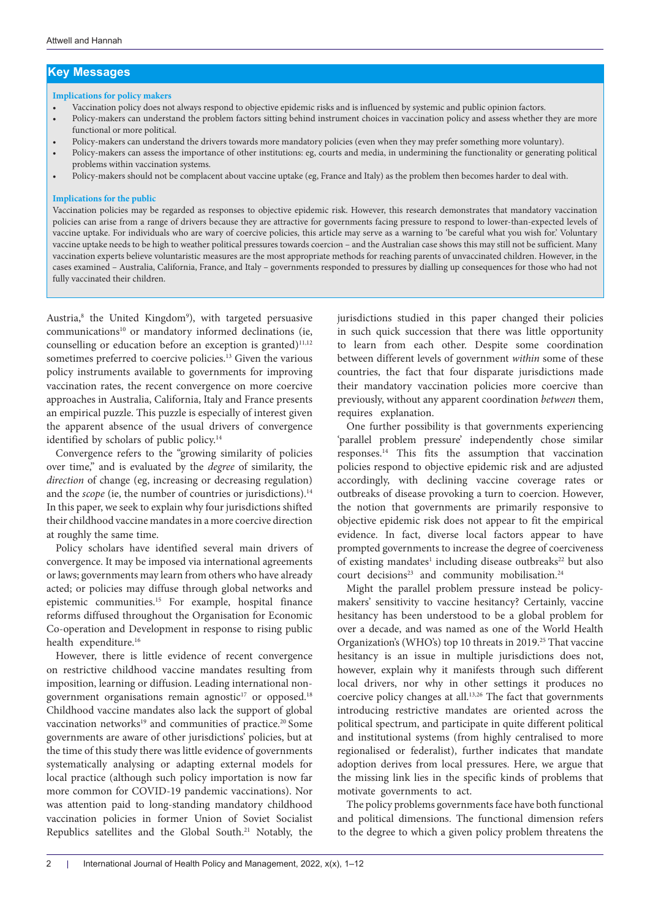## **Key Messages**

#### **Implications for policy makers**

- Vaccination policy does not always respond to objective epidemic risks and is influenced by systemic and public opinion factors.
- Policy-makers can understand the problem factors sitting behind instrument choices in vaccination policy and assess whether they are more functional or more political.
- Policy-makers can understand the drivers towards more mandatory policies (even when they may prefer something more voluntary).
- Policy-makers can assess the importance of other institutions: eg, courts and media, in undermining the functionality or generating political problems within vaccination systems.
- Policy-makers should not be complacent about vaccine uptake (eg, France and Italy) as the problem then becomes harder to deal with.

#### **Implications for the public**

Vaccination policies may be regarded as responses to objective epidemic risk. However, this research demonstrates that mandatory vaccination policies can arise from a range of drivers because they are attractive for governments facing pressure to respond to lower-than-expected levels of vaccine uptake. For individuals who are wary of coercive policies, this article may serve as a warning to 'be careful what you wish for.' Voluntary vaccine uptake needs to be high to weather political pressures towards coercion – and the Australian case shows this may still not be sufficient. Many vaccination experts believe voluntaristic measures are the most appropriate methods for reaching parents of unvaccinated children. However, in the cases examined – Australia, California, France, and Italy – governments responded to pressures by dialling up consequences for those who had not fully vaccinated their children.

Austria,<sup>8</sup> the United Kingdom<sup>9</sup>), with targeted persuasive communications<sup>10</sup> or mandatory informed declinations (ie, counselling or education before an exception is granted)<sup>11,12</sup> sometimes preferred to coercive policies.<sup>13</sup> Given the various policy instruments available to governments for improving vaccination rates, the recent convergence on more coercive approaches in Australia, California, Italy and France presents an empirical puzzle. This puzzle is especially of interest given the apparent absence of the usual drivers of convergence identified by scholars of public policy.<sup>14</sup>

Convergence refers to the "growing similarity of policies over time," and is evaluated by the *degree* of similarity, the *direction* of change (eg, increasing or decreasing regulation) and the *scope* (ie, the number of countries or jurisdictions).<sup>14</sup> In this paper, we seek to explain why four jurisdictions shifted their childhood vaccine mandates in a more coercive direction at roughly the same time.

Policy scholars have identified several main drivers of convergence. It may be imposed via international agreements or laws; governments may learn from others who have already acted; or policies may diffuse through global networks and epistemic communities.15 For example, hospital finance reforms diffused throughout the Organisation for Economic Co-operation and Development in response to rising public health expenditure.<sup>16</sup>

However, there is little evidence of recent convergence on restrictive childhood vaccine mandates resulting from imposition, learning or diffusion. Leading international nongovernment organisations remain agnostic $17$  or opposed.<sup>18</sup> Childhood vaccine mandates also lack the support of global vaccination networks<sup>19</sup> and communities of practice.<sup>20</sup> Some governments are aware of other jurisdictions' policies, but at the time of this study there was little evidence of governments systematically analysing or adapting external models for local practice (although such policy importation is now far more common for COVID-19 pandemic vaccinations). Nor was attention paid to long-standing mandatory childhood vaccination policies in former Union of Soviet Socialist Republics satellites and the Global South.21 Notably, the jurisdictions studied in this paper changed their policies in such quick succession that there was little opportunity to learn from each other. Despite some coordination between different levels of government *within* some of these countries, the fact that four disparate jurisdictions made their mandatory vaccination policies more coercive than previously, without any apparent coordination *between* them, requires explanation.

One further possibility is that governments experiencing 'parallel problem pressure' independently chose similar responses.14 This fits the assumption that vaccination policies respond to objective epidemic risk and are adjusted accordingly, with declining vaccine coverage rates or outbreaks of disease provoking a turn to coercion. However, the notion that governments are primarily responsive to objective epidemic risk does not appear to fit the empirical evidence. In fact, diverse local factors appear to have prompted governments to increase the degree of coerciveness of existing mandates<sup>1</sup> including disease outbreaks<sup>22</sup> but also court decisions<sup>23</sup> and community mobilisation.<sup>24</sup>

Might the parallel problem pressure instead be policymakers' sensitivity to vaccine hesitancy? Certainly, vaccine hesitancy has been understood to be a global problem for over a decade, and was named as one of the World Health Organization's (WHO's) top 10 threats in 2019.25 That vaccine hesitancy is an issue in multiple jurisdictions does not, however, explain why it manifests through such different local drivers, nor why in other settings it produces no coercive policy changes at all.<sup>13,26</sup> The fact that governments introducing restrictive mandates are oriented across the political spectrum, and participate in quite different political and institutional systems (from highly centralised to more regionalised or federalist), further indicates that mandate adoption derives from local pressures. Here, we argue that the missing link lies in the specific kinds of problems that motivate governments to act.

The policy problems governments face have both functional and political dimensions. The functional dimension refers to the degree to which a given policy problem threatens the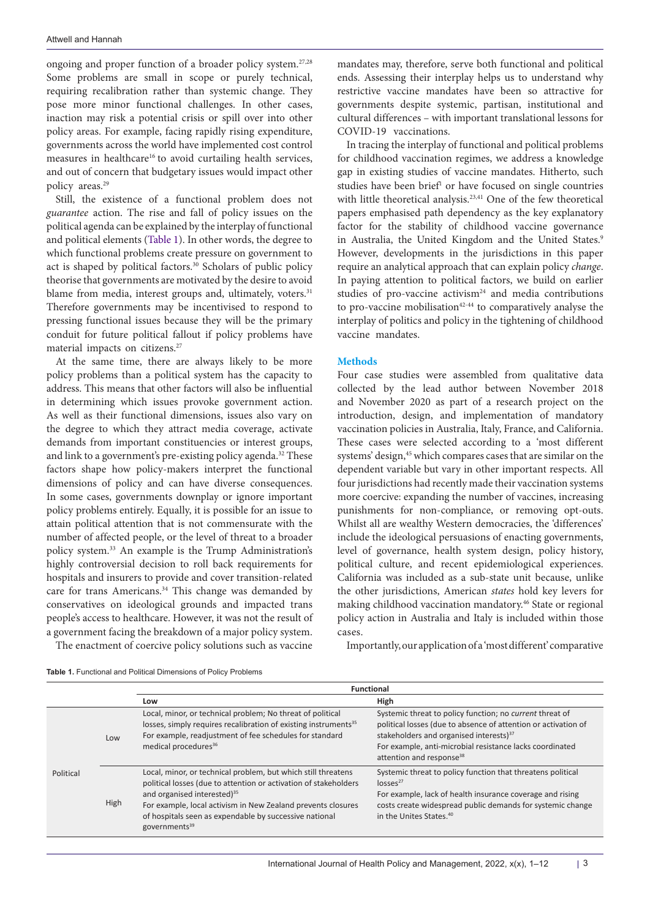ongoing and proper function of a broader policy system.27,28 Some problems are small in scope or purely technical, requiring recalibration rather than systemic change. They pose more minor functional challenges. In other cases, inaction may risk a potential crisis or spill over into other policy areas. For example, facing rapidly rising expenditure, governments across the world have implemented cost control measures in healthcare<sup>16</sup> to avoid curtailing health services, and out of concern that budgetary issues would impact other policy areas.29

Still, the existence of a functional problem does not *guarantee* action. The rise and fall of policy issues on the political agenda can be explained by the interplay of functional and political elements [\(Table 1\)](#page-2-0). In other words, the degree to which functional problems create pressure on government to act is shaped by political factors.<sup>30</sup> Scholars of public policy theorise that governments are motivated by the desire to avoid blame from media, interest groups and, ultimately, voters.<sup>31</sup> Therefore governments may be incentivised to respond to pressing functional issues because they will be the primary conduit for future political fallout if policy problems have material impacts on citizens.<sup>27</sup>

At the same time, there are always likely to be more policy problems than a political system has the capacity to address. This means that other factors will also be influential in determining which issues provoke government action. As well as their functional dimensions, issues also vary on the degree to which they attract media coverage, activate demands from important constituencies or interest groups, and link to a government's pre-existing policy agenda.<sup>32</sup> These factors shape how policy-makers interpret the functional dimensions of policy and can have diverse consequences. In some cases, governments downplay or ignore important policy problems entirely. Equally, it is possible for an issue to attain political attention that is not commensurate with the number of affected people, or the level of threat to a broader policy system.33 An example is the Trump Administration's highly controversial decision to roll back requirements for hospitals and insurers to provide and cover transition-related care for trans Americans.<sup>34</sup> This change was demanded by conservatives on ideological grounds and impacted trans people's access to healthcare. However, it was not the result of a government facing the breakdown of a major policy system.

The enactment of coercive policy solutions such as vaccine

mandates may, therefore, serve both functional and political ends. Assessing their interplay helps us to understand why restrictive vaccine mandates have been so attractive for governments despite systemic, partisan, institutional and cultural differences – with important translational lessons for COVID-19 vaccinations.

In tracing the interplay of functional and political problems for childhood vaccination regimes, we address a knowledge gap in existing studies of vaccine mandates. Hitherto, such studies have been brief<sup>1</sup> or have focused on single countries with little theoretical analysis.<sup>23,41</sup> One of the few theoretical papers emphasised path dependency as the key explanatory factor for the stability of childhood vaccine governance in Australia, the United Kingdom and the United States.<sup>9</sup> However, developments in the jurisdictions in this paper require an analytical approach that can explain policy *change*. In paying attention to political factors, we build on earlier studies of pro-vaccine activism $24$  and media contributions to pro-vaccine mobilisation $42-44$  to comparatively analyse the interplay of politics and policy in the tightening of childhood vaccine mandates.

#### **Methods**

Four case studies were assembled from qualitative data collected by the lead author between November 2018 and November 2020 as part of a research project on the introduction, design, and implementation of mandatory vaccination policies in Australia, Italy, France, and California. These cases were selected according to a 'most different systems' design,<sup>45</sup> which compares cases that are similar on the dependent variable but vary in other important respects. All four jurisdictions had recently made their vaccination systems more coercive: expanding the number of vaccines, increasing punishments for non-compliance, or removing opt-outs. Whilst all are wealthy Western democracies, the 'differences' include the ideological persuasions of enacting governments, level of governance, health system design, policy history, political culture, and recent epidemiological experiences. California was included as a sub-state unit because, unlike the other jurisdictions, American *states* hold key levers for making childhood vaccination mandatory.46 State or regional policy action in Australia and Italy is included within those cases.

<span id="page-2-0"></span>

Importantly, our application of a 'most different' comparative

|           |      | <b>Functional</b>                                                                                                                                                                                                                                                                                                                   |                                                                                                                                                                                                                                                                                              |  |  |  |
|-----------|------|-------------------------------------------------------------------------------------------------------------------------------------------------------------------------------------------------------------------------------------------------------------------------------------------------------------------------------------|----------------------------------------------------------------------------------------------------------------------------------------------------------------------------------------------------------------------------------------------------------------------------------------------|--|--|--|
|           |      | Low                                                                                                                                                                                                                                                                                                                                 | High                                                                                                                                                                                                                                                                                         |  |  |  |
| Political | Low  | Local, minor, or technical problem; No threat of political<br>losses, simply requires recalibration of existing instruments <sup>35</sup><br>For example, readjustment of fee schedules for standard<br>medical procedures <sup>36</sup>                                                                                            | Systemic threat to policy function; no <i>current</i> threat of<br>political losses (due to absence of attention or activation of<br>stakeholders and organised interests) <sup>37</sup><br>For example, anti-microbial resistance lacks coordinated<br>attention and response <sup>38</sup> |  |  |  |
|           | High | Local, minor, or technical problem, but which still threatens<br>political losses (due to attention or activation of stakeholders<br>and organised interested) <sup>35</sup><br>For example, local activism in New Zealand prevents closures<br>of hospitals seen as expendable by successive national<br>governments <sup>39</sup> | Systemic threat to policy function that threatens political<br>losses <sup>27</sup><br>For example, lack of health insurance coverage and rising<br>costs create widespread public demands for systemic change<br>in the Unites States. <sup>40</sup>                                        |  |  |  |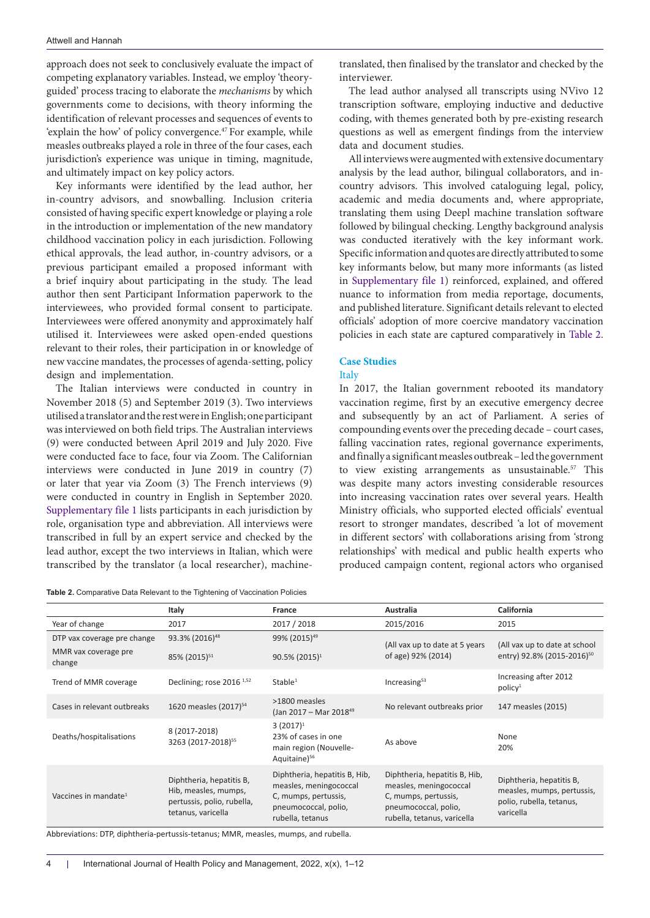approach does not seek to conclusively evaluate the impact of competing explanatory variables. Instead, we employ 'theoryguided' process tracing to elaborate the *mechanisms* by which governments come to decisions, with theory informing the identification of relevant processes and sequences of events to 'explain the how' of policy convergence.<sup>47</sup> For example, while measles outbreaks played a role in three of the four cases, each jurisdiction's experience was unique in timing, magnitude, and ultimately impact on key policy actors.

Key informants were identified by the lead author, her in-country advisors, and snowballing. Inclusion criteria consisted of having specific expert knowledge or playing a role in the introduction or implementation of the new mandatory childhood vaccination policy in each jurisdiction. Following ethical approvals, the lead author, in-country advisors, or a previous participant emailed a proposed informant with a brief inquiry about participating in the study. The lead author then sent Participant Information paperwork to the interviewees, who provided formal consent to participate. Interviewees were offered anonymity and approximately half utilised it. Interviewees were asked open-ended questions relevant to their roles, their participation in or knowledge of new vaccine mandates, the processes of agenda-setting, policy design and implementation.

The Italian interviews were conducted in country in November 2018 (5) and September 2019 (3). Two interviews utilised a translator and the rest were in English; one participant was interviewed on both field trips. The Australian interviews (9) were conducted between April 2019 and July 2020. Five were conducted face to face, four via Zoom. The Californian interviews were conducted in June 2019 in country (7) or later that year via Zoom (3) The French interviews (9) were conducted in country in English in September 2020. [Supplementary file 1](#page-9-0) lists participants in each jurisdiction by role, organisation type and abbreviation. All interviews were transcribed in full by an expert service and checked by the lead author, except the two interviews in Italian, which were transcribed by the translator (a local researcher), machine-

<span id="page-3-0"></span>**Table 2.** Comparative Data Relevant to the Tightening of Vaccination Policies

translated, then finalised by the translator and checked by the interviewer.

The lead author analysed all transcripts using NVivo 12 transcription software, employing inductive and deductive coding, with themes generated both by pre-existing research questions as well as emergent findings from the interview data and document studies.

All interviews were augmented with extensive documentary analysis by the lead author, bilingual collaborators, and incountry advisors. This involved cataloguing legal, policy, academic and media documents and, where appropriate, translating them using Deepl machine translation software followed by bilingual checking. Lengthy background analysis was conducted iteratively with the key informant work. Specific information and quotes are directly attributed to some key informants below, but many more informants (as listed in [Supplementary file 1\)](#page-9-0) reinforced, explained, and offered nuance to information from media reportage, documents, and published literature. Significant details relevant to elected officials' adoption of more coercive mandatory vaccination policies in each state are captured comparatively in [Table 2](#page-3-0).

# **Case Studies**

# Italy

In 2017, the Italian government rebooted its mandatory vaccination regime, first by an executive emergency decree and subsequently by an act of Parliament. A series of compounding events over the preceding decade – court cases, falling vaccination rates, regional governance experiments, and finally a significant measles outbreak – led the government to view existing arrangements as unsustainable.<sup>57</sup> This was despite many actors investing considerable resources into increasing vaccination rates over several years. Health Ministry officials, who supported elected officials' eventual resort to stronger mandates, described 'a lot of movement in different sectors' with collaborations arising from 'strong relationships' with medical and public health experts who produced campaign content, regional actors who organised

|                                  | Italy                                                                                                | France                                                                                                                      | Australia                                                                                                                              | <b>California</b>                                                                               |
|----------------------------------|------------------------------------------------------------------------------------------------------|-----------------------------------------------------------------------------------------------------------------------------|----------------------------------------------------------------------------------------------------------------------------------------|-------------------------------------------------------------------------------------------------|
| Year of change                   | 2017                                                                                                 | 2017 / 2018                                                                                                                 | 2015/2016                                                                                                                              | 2015                                                                                            |
| DTP vax coverage pre change      | 93.3% (2016) <sup>48</sup>                                                                           | 99% (2015) <sup>49</sup>                                                                                                    | (All vax up to date at 5 years)                                                                                                        | (All vax up to date at school                                                                   |
| MMR vax coverage pre<br>change   | 85% (2015) <sup>51</sup>                                                                             | 90.5% (2015) <sup>1</sup>                                                                                                   | of age) 92% (2014)                                                                                                                     | entry) 92.8% (2015-2016) <sup>50</sup>                                                          |
| Trend of MMR coverage            | Declining; rose 2016 <sup>1,52</sup>                                                                 | Stable <sup>1</sup>                                                                                                         | Increasing $53$                                                                                                                        | Increasing after 2012<br>$p$ olicy <sup>1</sup>                                                 |
| Cases in relevant outbreaks      | 1620 measles (2017) <sup>54</sup>                                                                    | >1800 measles<br>(Jan 2017 – Mar 2018 <sup>49</sup> )                                                                       | No relevant outbreaks prior                                                                                                            | 147 measles (2015)                                                                              |
| Deaths/hospitalisations          | 8 (2017-2018)<br>3263 (2017-2018) <sup>55</sup>                                                      | $3(2017)^1$<br>23% of cases in one<br>main region (Nouvelle-<br>Aquitaine) <sup>56</sup>                                    | As above                                                                                                                               | None<br>20%                                                                                     |
| Vaccines in mandate <sup>1</sup> | Diphtheria, hepatitis B,<br>Hib, measles, mumps,<br>pertussis, polio, rubella,<br>tetanus, varicella | Diphtheria, hepatitis B, Hib,<br>measles, meningococcal<br>C, mumps, pertussis,<br>pneumococcal, polio,<br>rubella, tetanus | Diphtheria, hepatitis B, Hib,<br>measles, meningococcal<br>C, mumps, pertussis,<br>pneumococcal, polio,<br>rubella, tetanus, varicella | Diphtheria, hepatitis B,<br>measles, mumps, pertussis,<br>polio, rubella, tetanus,<br>varicella |

Abbreviations: DTP, diphtheria-pertussis-tetanus; MMR, measles, mumps, and rubella.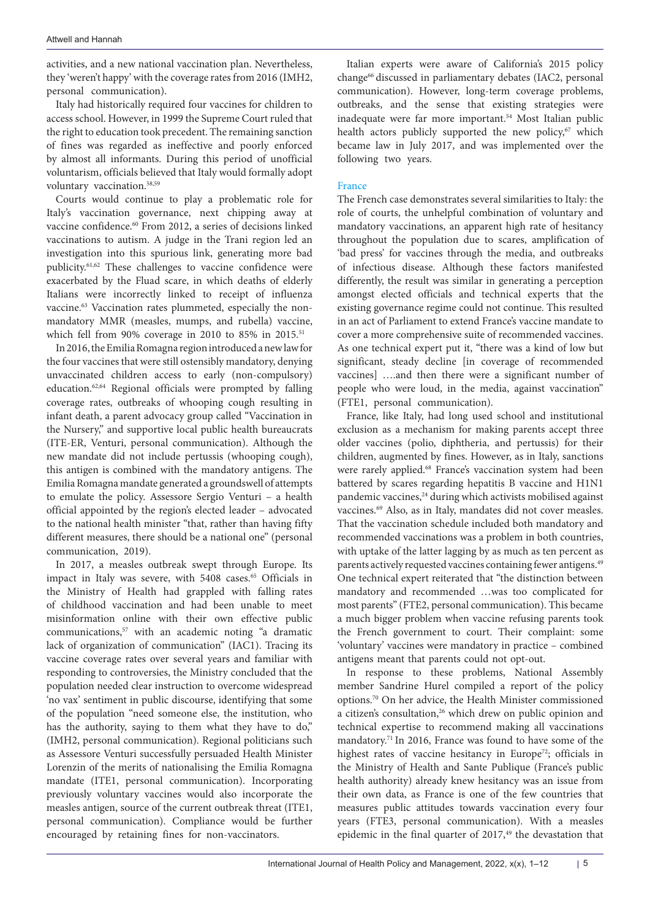activities, and a new national vaccination plan. Nevertheless, they 'weren't happy' with the coverage rates from 2016 (IMH2, personal communication).

Italy had historically required four vaccines for children to access school. However, in 1999 the Supreme Court ruled that the right to education took precedent. The remaining sanction of fines was regarded as ineffective and poorly enforced by almost all informants. During this period of unofficial voluntarism, officials believed that Italy would formally adopt voluntary vaccination.58,59

Courts would continue to play a problematic role for Italy's vaccination governance, next chipping away at vaccine confidence.60 From 2012, a series of decisions linked vaccinations to autism. A judge in the Trani region led an investigation into this spurious link, generating more bad publicity.61,62 These challenges to vaccine confidence were exacerbated by the Fluad scare, in which deaths of elderly Italians were incorrectly linked to receipt of influenza vaccine.63 Vaccination rates plummeted, especially the nonmandatory MMR (measles, mumps, and rubella) vaccine, which fell from 90% coverage in 2010 to 85% in 2015.<sup>51</sup>

In 2016, the Emilia Romagna region introduced a new law for the four vaccines that were still ostensibly mandatory, denying unvaccinated children access to early (non-compulsory) education.62,64 Regional officials were prompted by falling coverage rates, outbreaks of whooping cough resulting in infant death, a parent advocacy group called "Vaccination in the Nursery," and supportive local public health bureaucrats (ITE-ER, Venturi, personal communication). Although the new mandate did not include pertussis (whooping cough), this antigen is combined with the mandatory antigens. The Emilia Romagna mandate generated a groundswell of attempts to emulate the policy. Assessore Sergio Venturi – a health official appointed by the region's elected leader – advocated to the national health minister "that, rather than having fifty different measures, there should be a national one" (personal communication, 2019).

In 2017, a measles outbreak swept through Europe. Its impact in Italy was severe, with 5408 cases.<sup>65</sup> Officials in the Ministry of Health had grappled with falling rates of childhood vaccination and had been unable to meet misinformation online with their own effective public communications,57 with an academic noting "a dramatic lack of organization of communication" (IAC1). Tracing its vaccine coverage rates over several years and familiar with responding to controversies, the Ministry concluded that the population needed clear instruction to overcome widespread 'no vax' sentiment in public discourse, identifying that some of the population "need someone else, the institution, who has the authority, saying to them what they have to do," (IMH2, personal communication). Regional politicians such as Assessore Venturi successfully persuaded Health Minister Lorenzin of the merits of nationalising the Emilia Romagna mandate (ITE1, personal communication). Incorporating previously voluntary vaccines would also incorporate the measles antigen, source of the current outbreak threat (ITE1, personal communication). Compliance would be further encouraged by retaining fines for non-vaccinators.

Italian experts were aware of California's 2015 policy change<sup>66</sup> discussed in parliamentary debates (IAC2, personal communication). However, long-term coverage problems, outbreaks, and the sense that existing strategies were inadequate were far more important.<sup>54</sup> Most Italian public health actors publicly supported the new policy,<sup>67</sup> which became law in July 2017, and was implemented over the following two years.

#### France

The French case demonstrates several similarities to Italy: the role of courts, the unhelpful combination of voluntary and mandatory vaccinations, an apparent high rate of hesitancy throughout the population due to scares, amplification of 'bad press' for vaccines through the media, and outbreaks of infectious disease. Although these factors manifested differently, the result was similar in generating a perception amongst elected officials and technical experts that the existing governance regime could not continue. This resulted in an act of Parliament to extend France's vaccine mandate to cover a more comprehensive suite of recommended vaccines. As one technical expert put it, "there was a kind of low but significant, steady decline [in coverage of recommended vaccines] ….and then there were a significant number of people who were loud, in the media, against vaccination" (FTE1, personal communication).

France, like Italy, had long used school and institutional exclusion as a mechanism for making parents accept three older vaccines (polio, diphtheria, and pertussis) for their children, augmented by fines. However, as in Italy, sanctions were rarely applied.<sup>68</sup> France's vaccination system had been battered by scares regarding hepatitis B vaccine and H1N1 pandemic vaccines,<sup>24</sup> during which activists mobilised against vaccines.<sup>69</sup> Also, as in Italy, mandates did not cover measles. That the vaccination schedule included both mandatory and recommended vaccinations was a problem in both countries, with uptake of the latter lagging by as much as ten percent as parents actively requested vaccines containing fewer antigens.<sup>49</sup> One technical expert reiterated that "the distinction between mandatory and recommended …was too complicated for most parents" (FTE2, personal communication). This became a much bigger problem when vaccine refusing parents took the French government to court. Their complaint: some 'voluntary' vaccines were mandatory in practice – combined antigens meant that parents could not opt-out.

In response to these problems, National Assembly member Sandrine Hurel compiled a report of the policy options.70 On her advice, the Health Minister commissioned a citizen's consultation,<sup>26</sup> which drew on public opinion and technical expertise to recommend making all vaccinations mandatory.71 In 2016, France was found to have some of the highest rates of vaccine hesitancy in Europe<sup>72</sup>; officials in the Ministry of Health and Sante Publique (France's public health authority) already knew hesitancy was an issue from their own data, as France is one of the few countries that measures public attitudes towards vaccination every four years (FTE3, personal communication). With a measles epidemic in the final quarter of 2017,<sup>49</sup> the devastation that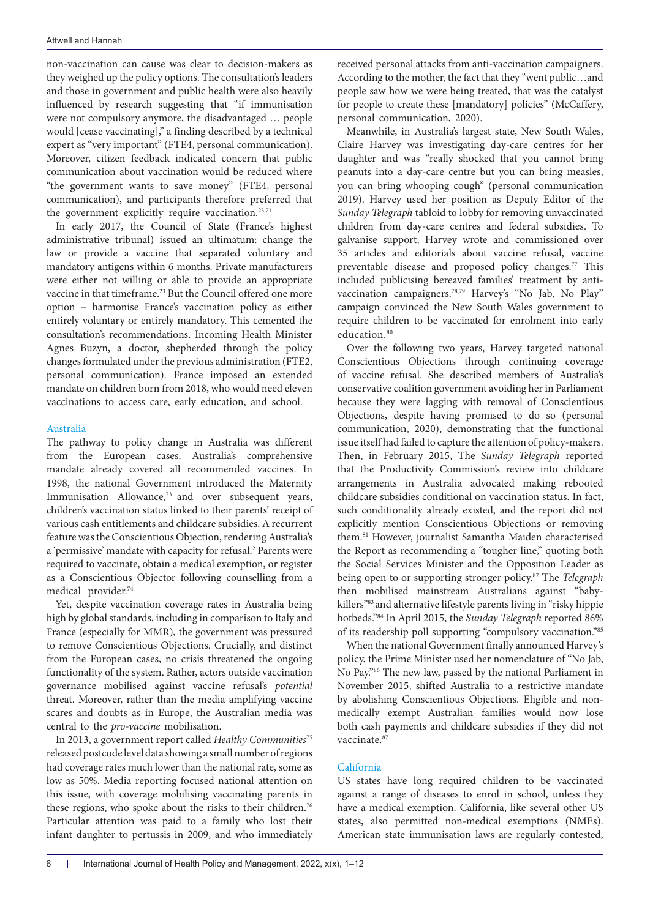non-vaccination can cause was clear to decision-makers as they weighed up the policy options. The consultation's leaders and those in government and public health were also heavily influenced by research suggesting that "if immunisation were not compulsory anymore, the disadvantaged … people would [cease vaccinating]," a finding described by a technical expert as "very important" (FTE4, personal communication). Moreover, citizen feedback indicated concern that public communication about vaccination would be reduced where "the government wants to save money" (FTE4, personal communication), and participants therefore preferred that the government explicitly require vaccination.<sup>23,71</sup>

In early 2017, the Council of State (France's highest administrative tribunal) issued an ultimatum: change the law or provide a vaccine that separated voluntary and mandatory antigens within 6 months. Private manufacturers were either not willing or able to provide an appropriate vaccine in that timeframe.23 But the Council offered one more option – harmonise France's vaccination policy as either entirely voluntary or entirely mandatory. This cemented the consultation's recommendations. Incoming Health Minister Agnes Buzyn, a doctor, shepherded through the policy changes formulated under the previous administration (FTE2, personal communication). France imposed an extended mandate on children born from 2018, who would need eleven vaccinations to access care, early education, and school.

#### Australia

The pathway to policy change in Australia was different from the European cases. Australia's comprehensive mandate already covered all recommended vaccines. In 1998, the national Government introduced the Maternity Immunisation Allowance,<sup>73</sup> and over subsequent years, children's vaccination status linked to their parents' receipt of various cash entitlements and childcare subsidies. A recurrent feature was the Conscientious Objection, rendering Australia's a 'permissive' mandate with capacity for refusal.<sup>2</sup> Parents were required to vaccinate, obtain a medical exemption, or register as a Conscientious Objector following counselling from a medical provider.<sup>74</sup>

Yet, despite vaccination coverage rates in Australia being high by global standards, including in comparison to Italy and France (especially for MMR), the government was pressured to remove Conscientious Objections. Crucially, and distinct from the European cases, no crisis threatened the ongoing functionality of the system. Rather, actors outside vaccination governance mobilised against vaccine refusal's *potential* threat. Moreover, rather than the media amplifying vaccine scares and doubts as in Europe, the Australian media was central to the *pro-vaccine* mobilisation.

In 2013, a government report called *Healthy Communities*<sup>75</sup> released postcode level data showing a small number of regions had coverage rates much lower than the national rate, some as low as 50%. Media reporting focused national attention on this issue, with coverage mobilising vaccinating parents in these regions, who spoke about the risks to their children.<sup>76</sup> Particular attention was paid to a family who lost their infant daughter to pertussis in 2009, and who immediately

received personal attacks from anti-vaccination campaigners. According to the mother, the fact that they "went public…and people saw how we were being treated, that was the catalyst for people to create these [mandatory] policies" (McCaffery, personal communication, 2020).

Meanwhile, in Australia's largest state, New South Wales, Claire Harvey was investigating day-care centres for her daughter and was "really shocked that you cannot bring peanuts into a day-care centre but you can bring measles, you can bring whooping cough" (personal communication 2019). Harvey used her position as Deputy Editor of the *Sunday Telegraph* tabloid to lobby for removing unvaccinated children from day-care centres and federal subsidies. To galvanise support, Harvey wrote and commissioned over 35 articles and editorials about vaccine refusal, vaccine preventable disease and proposed policy changes.<sup>77</sup> This included publicising bereaved families' treatment by antivaccination campaigners.<sup>78,79</sup> Harvey's "No Jab, No Play" campaign convinced the New South Wales government to require children to be vaccinated for enrolment into early education.<sup>80</sup>

Over the following two years, Harvey targeted national Conscientious Objections through continuing coverage of vaccine refusal. She described members of Australia's conservative coalition government avoiding her in Parliament because they were lagging with removal of Conscientious Objections, despite having promised to do so (personal communication, 2020), demonstrating that the functional issue itself had failed to capture the attention of policy-makers. Then, in February 2015, The *Sunday Telegraph* reported that the Productivity Commission's review into childcare arrangements in Australia advocated making rebooted childcare subsidies conditional on vaccination status. In fact, such conditionality already existed, and the report did not explicitly mention Conscientious Objections or removing them.81 However, journalist Samantha Maiden characterised the Report as recommending a "tougher line," quoting both the Social Services Minister and the Opposition Leader as being open to or supporting stronger policy.82 The *Telegraph*  then mobilised mainstream Australians against "babykillers"83 and alternative lifestyle parents living in "risky hippie hotbeds."84 In April 2015, the *Sunday Telegraph* reported 86% of its readership poll supporting "compulsory vaccination."85

When the national Government finally announced Harvey's policy, the Prime Minister used her nomenclature of "No Jab, No Pay."86 The new law, passed by the national Parliament in November 2015, shifted Australia to a restrictive mandate by abolishing Conscientious Objections. Eligible and nonmedically exempt Australian families would now lose both cash payments and childcare subsidies if they did not vaccinate.<sup>87</sup>

#### California

US states have long required children to be vaccinated against a range of diseases to enrol in school, unless they have a medical exemption. California, like several other US states, also permitted non-medical exemptions (NMEs). American state immunisation laws are regularly contested,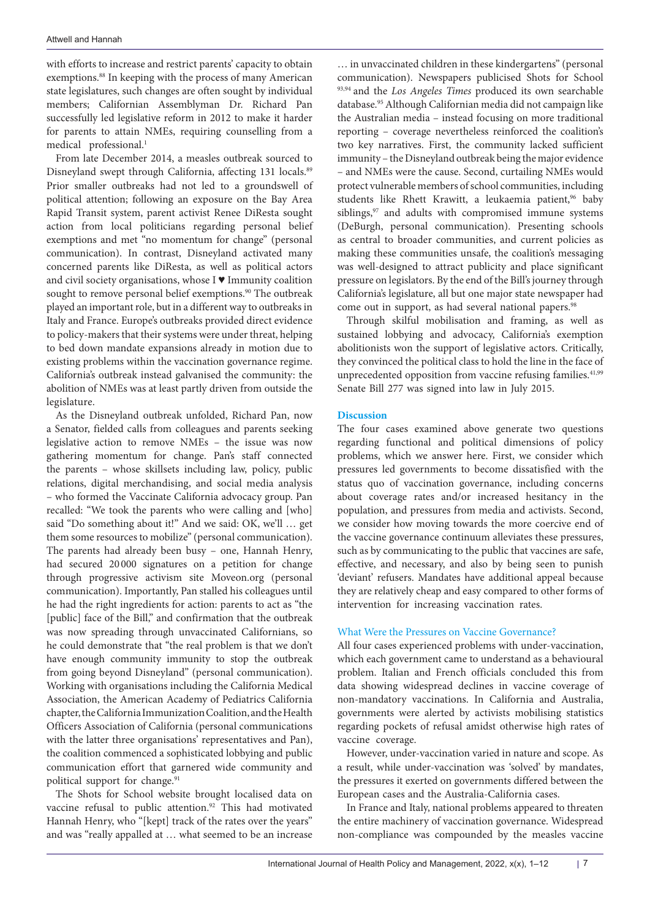with efforts to increase and restrict parents' capacity to obtain exemptions.<sup>88</sup> In keeping with the process of many American state legislatures, such changes are often sought by individual members; Californian Assemblyman Dr. Richard Pan successfully led legislative reform in 2012 to make it harder for parents to attain NMEs, requiring counselling from a medical professional.<sup>1</sup>

From late December 2014, a measles outbreak sourced to Disneyland swept through California, affecting 131 locals.<sup>89</sup> Prior smaller outbreaks had not led to a groundswell of political attention; following an exposure on the Bay Area Rapid Transit system, parent activist Renee DiResta sought action from local politicians regarding personal belief exemptions and met "no momentum for change" (personal communication). In contrast, Disneyland activated many concerned parents like DiResta, as well as political actors and civil society organisations, whose I ♥ Immunity coalition sought to remove personal belief exemptions.<sup>90</sup> The outbreak played an important role, but in a different way to outbreaks in Italy and France. Europe's outbreaks provided direct evidence to policy-makers that their systems were under threat, helping to bed down mandate expansions already in motion due to existing problems within the vaccination governance regime. California's outbreak instead galvanised the community: the abolition of NMEs was at least partly driven from outside the legislature.

As the Disneyland outbreak unfolded, Richard Pan, now a Senator, fielded calls from colleagues and parents seeking legislative action to remove NMEs – the issue was now gathering momentum for change. Pan's staff connected the parents – whose skillsets including law, policy, public relations, digital merchandising, and social media analysis – who formed the Vaccinate California advocacy group. Pan recalled: "We took the parents who were calling and [who] said "Do something about it!" And we said: OK, we'll … get them some resources to mobilize" (personal communication). The parents had already been busy – one, Hannah Henry, had secured 20 000 signatures on a petition for change through progressive activism site Moveon.org (personal communication). Importantly, Pan stalled his colleagues until he had the right ingredients for action: parents to act as "the [public] face of the Bill," and confirmation that the outbreak was now spreading through unvaccinated Californians, so he could demonstrate that "the real problem is that we don't have enough community immunity to stop the outbreak from going beyond Disneyland" (personal communication). Working with organisations including the California Medical Association, the American Academy of Pediatrics California chapter, the California Immunization Coalition, and the Health Officers Association of California (personal communications with the latter three organisations' representatives and Pan), the coalition commenced a sophisticated lobbying and public communication effort that garnered wide community and political support for change.<sup>91</sup>

The Shots for School website brought localised data on vaccine refusal to public attention.92 This had motivated Hannah Henry, who "[kept] track of the rates over the years" and was "really appalled at … what seemed to be an increase

… in unvaccinated children in these kindergartens" (personal communication). Newspapers publicised Shots for School <sup>93,94</sup> and the *Los Angeles Times* produced its own searchable database.95 Although Californian media did not campaign like the Australian media – instead focusing on more traditional reporting – coverage nevertheless reinforced the coalition's two key narratives. First, the community lacked sufficient immunity – the Disneyland outbreak being the major evidence – and NMEs were the cause. Second, curtailing NMEs would protect vulnerable members of school communities, including students like Rhett Krawitt, a leukaemia patient,<sup>96</sup> baby siblings,<sup>97</sup> and adults with compromised immune systems (DeBurgh, personal communication). Presenting schools as central to broader communities, and current policies as making these communities unsafe, the coalition's messaging was well-designed to attract publicity and place significant pressure on legislators. By the end of the Bill's journey through California's legislature, all but one major state newspaper had come out in support, as had several national papers.<sup>98</sup>

Through skilful mobilisation and framing, as well as sustained lobbying and advocacy, California's exemption abolitionists won the support of legislative actors. Critically, they convinced the political class to hold the line in the face of unprecedented opposition from vaccine refusing families.<sup>41,99</sup> Senate Bill 277 was signed into law in July 2015.

#### **Discussion**

The four cases examined above generate two questions regarding functional and political dimensions of policy problems, which we answer here. First, we consider which pressures led governments to become dissatisfied with the status quo of vaccination governance, including concerns about coverage rates and/or increased hesitancy in the population, and pressures from media and activists. Second, we consider how moving towards the more coercive end of the vaccine governance continuum alleviates these pressures, such as by communicating to the public that vaccines are safe, effective, and necessary, and also by being seen to punish 'deviant' refusers. Mandates have additional appeal because they are relatively cheap and easy compared to other forms of intervention for increasing vaccination rates.

### What Were the Pressures on Vaccine Governance?

All four cases experienced problems with under-vaccination, which each government came to understand as a behavioural problem. Italian and French officials concluded this from data showing widespread declines in vaccine coverage of non-mandatory vaccinations. In California and Australia, governments were alerted by activists mobilising statistics regarding pockets of refusal amidst otherwise high rates of vaccine coverage.

However, under-vaccination varied in nature and scope. As a result, while under-vaccination was 'solved' by mandates, the pressures it exerted on governments differed between the European cases and the Australia-California cases.

In France and Italy, national problems appeared to threaten the entire machinery of vaccination governance. Widespread non-compliance was compounded by the measles vaccine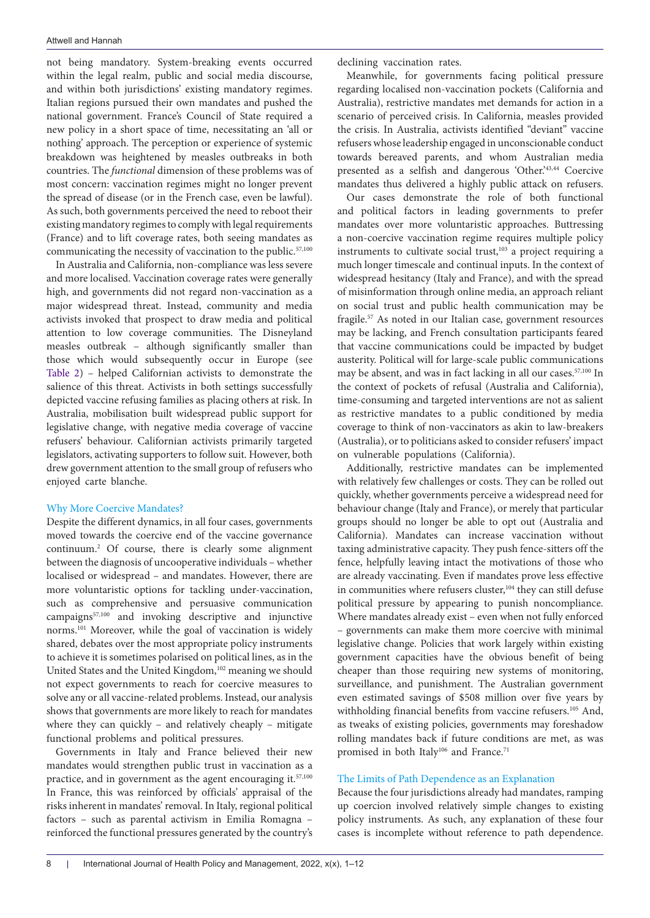not being mandatory. System-breaking events occurred within the legal realm, public and social media discourse, and within both jurisdictions' existing mandatory regimes. Italian regions pursued their own mandates and pushed the national government. France's Council of State required a new policy in a short space of time, necessitating an 'all or nothing' approach. The perception or experience of systemic breakdown was heightened by measles outbreaks in both countries. The *functional* dimension of these problems was of most concern: vaccination regimes might no longer prevent the spread of disease (or in the French case, even be lawful). As such, both governments perceived the need to reboot their existing mandatory regimes to comply with legal requirements (France) and to lift coverage rates, both seeing mandates as communicating the necessity of vaccination to the public.<sup>57,100</sup>

In Australia and California, non-compliance was less severe and more localised. Vaccination coverage rates were generally high, and governments did not regard non-vaccination as a major widespread threat. Instead, community and media activists invoked that prospect to draw media and political attention to low coverage communities. The Disneyland measles outbreak – although significantly smaller than those which would subsequently occur in Europe (see [Table 2\)](#page-3-0) – helped Californian activists to demonstrate the salience of this threat. Activists in both settings successfully depicted vaccine refusing families as placing others at risk. In Australia, mobilisation built widespread public support for legislative change, with negative media coverage of vaccine refusers' behaviour. Californian activists primarily targeted legislators, activating supporters to follow suit. However, both drew government attention to the small group of refusers who enjoyed carte blanche.

#### Why More Coercive Mandates?

Despite the different dynamics, in all four cases, governments moved towards the coercive end of the vaccine governance continuum.2 Of course, there is clearly some alignment between the diagnosis of uncooperative individuals – whether localised or widespread – and mandates. However, there are more voluntaristic options for tackling under-vaccination, such as comprehensive and persuasive communication campaigns57,100 and invoking descriptive and injunctive norms.101 Moreover, while the goal of vaccination is widely shared, debates over the most appropriate policy instruments to achieve it is sometimes polarised on political lines, as in the United States and the United Kingdom,<sup>102</sup> meaning we should not expect governments to reach for coercive measures to solve any or all vaccine-related problems. Instead, our analysis shows that governments are more likely to reach for mandates where they can quickly – and relatively cheaply – mitigate functional problems and political pressures.

Governments in Italy and France believed their new mandates would strengthen public trust in vaccination as a practice, and in government as the agent encouraging it.<sup>57,100</sup> In France, this was reinforced by officials' appraisal of the risks inherent in mandates' removal. In Italy, regional political factors – such as parental activism in Emilia Romagna – reinforced the functional pressures generated by the country's declining vaccination rates.

Meanwhile, for governments facing political pressure regarding localised non-vaccination pockets (California and Australia), restrictive mandates met demands for action in a scenario of perceived crisis. In California, measles provided the crisis. In Australia, activists identified "deviant" vaccine refusers whose leadership engaged in unconscionable conduct towards bereaved parents, and whom Australian media presented as a selfish and dangerous 'Other.'43,44 Coercive mandates thus delivered a highly public attack on refusers.

Our cases demonstrate the role of both functional and political factors in leading governments to prefer mandates over more voluntaristic approaches. Buttressing a non-coercive vaccination regime requires multiple policy instruments to cultivate social trust,<sup>103</sup> a project requiring a much longer timescale and continual inputs. In the context of widespread hesitancy (Italy and France), and with the spread of misinformation through online media, an approach reliant on social trust and public health communication may be fragile.<sup>57</sup> As noted in our Italian case, government resources may be lacking, and French consultation participants feared that vaccine communications could be impacted by budget austerity. Political will for large-scale public communications may be absent, and was in fact lacking in all our cases.57,100 In the context of pockets of refusal (Australia and California), time-consuming and targeted interventions are not as salient as restrictive mandates to a public conditioned by media coverage to think of non-vaccinators as akin to law-breakers (Australia), or to politicians asked to consider refusers' impact on vulnerable populations (California).

Additionally, restrictive mandates can be implemented with relatively few challenges or costs. They can be rolled out quickly, whether governments perceive a widespread need for behaviour change (Italy and France), or merely that particular groups should no longer be able to opt out (Australia and California). Mandates can increase vaccination without taxing administrative capacity. They push fence-sitters off the fence, helpfully leaving intact the motivations of those who are already vaccinating. Even if mandates prove less effective in communities where refusers cluster,<sup>104</sup> they can still defuse political pressure by appearing to punish noncompliance. Where mandates already exist – even when not fully enforced – governments can make them more coercive with minimal legislative change. Policies that work largely within existing government capacities have the obvious benefit of being cheaper than those requiring new systems of monitoring, surveillance, and punishment. The Australian government even estimated savings of \$508 million over five years by withholding financial benefits from vaccine refusers.<sup>105</sup> And, as tweaks of existing policies, governments may foreshadow rolling mandates back if future conditions are met, as was promised in both Italy<sup>106</sup> and France.<sup>71</sup>

#### The Limits of Path Dependence as an Explanation

Because the four jurisdictions already had mandates, ramping up coercion involved relatively simple changes to existing policy instruments. As such, any explanation of these four cases is incomplete without reference to path dependence.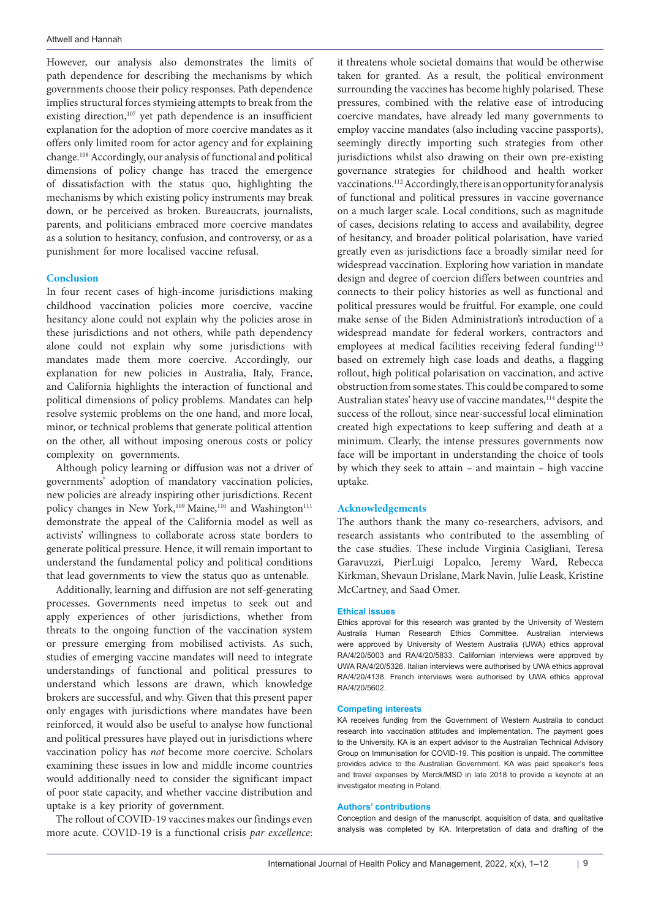However, our analysis also demonstrates the limits of path dependence for describing the mechanisms by which governments choose their policy responses. Path dependence implies structural forces stymieing attempts to break from the existing direction,<sup>107</sup> yet path dependence is an insufficient explanation for the adoption of more coercive mandates as it offers only limited room for actor agency and for explaining change.108 Accordingly, our analysis of functional and political dimensions of policy change has traced the emergence of dissatisfaction with the status quo, highlighting the mechanisms by which existing policy instruments may break down, or be perceived as broken. Bureaucrats, journalists, parents, and politicians embraced more coercive mandates as a solution to hesitancy, confusion, and controversy, or as a punishment for more localised vaccine refusal.

#### **Conclusion**

In four recent cases of high-income jurisdictions making childhood vaccination policies more coercive, vaccine hesitancy alone could not explain why the policies arose in these jurisdictions and not others, while path dependency alone could not explain why some jurisdictions with mandates made them more coercive. Accordingly, our explanation for new policies in Australia, Italy, France, and California highlights the interaction of functional and political dimensions of policy problems. Mandates can help resolve systemic problems on the one hand, and more local, minor, or technical problems that generate political attention on the other, all without imposing onerous costs or policy complexity on governments.

Although policy learning or diffusion was not a driver of governments' adoption of mandatory vaccination policies, new policies are already inspiring other jurisdictions. Recent policy changes in New York,<sup>109</sup> Maine,<sup>110</sup> and Washington<sup>111</sup> demonstrate the appeal of the California model as well as activists' willingness to collaborate across state borders to generate political pressure. Hence, it will remain important to understand the fundamental policy and political conditions that lead governments to view the status quo as untenable.

Additionally, learning and diffusion are not self-generating processes. Governments need impetus to seek out and apply experiences of other jurisdictions, whether from threats to the ongoing function of the vaccination system or pressure emerging from mobilised activists. As such, studies of emerging vaccine mandates will need to integrate understandings of functional and political pressures to understand which lessons are drawn, which knowledge brokers are successful, and why. Given that this present paper only engages with jurisdictions where mandates have been reinforced, it would also be useful to analyse how functional and political pressures have played out in jurisdictions where vaccination policy has *not* become more coercive. Scholars examining these issues in low and middle income countries would additionally need to consider the significant impact of poor state capacity, and whether vaccine distribution and uptake is a key priority of government.

The rollout of COVID-19 vaccines makes our findings even more acute. COVID-19 is a functional crisis *par excellence*:

it threatens whole societal domains that would be otherwise taken for granted. As a result, the political environment surrounding the vaccines has become highly polarised. These pressures, combined with the relative ease of introducing coercive mandates, have already led many governments to employ vaccine mandates (also including vaccine passports), seemingly directly importing such strategies from other jurisdictions whilst also drawing on their own pre-existing governance strategies for childhood and health worker vaccinations.<sup>112</sup> Accordingly, there is an opportunity for analysis of functional and political pressures in vaccine governance on a much larger scale. Local conditions, such as magnitude of cases, decisions relating to access and availability, degree of hesitancy, and broader political polarisation, have varied greatly even as jurisdictions face a broadly similar need for widespread vaccination. Exploring how variation in mandate design and degree of coercion differs between countries and connects to their policy histories as well as functional and political pressures would be fruitful. For example, one could make sense of the Biden Administration's introduction of a widespread mandate for federal workers, contractors and employees at medical facilities receiving federal funding<sup>113</sup> based on extremely high case loads and deaths, a flagging rollout, high political polarisation on vaccination, and active obstruction from some states. This could be compared to some Australian states' heavy use of vaccine mandates, <sup>114</sup> despite the success of the rollout, since near-successful local elimination created high expectations to keep suffering and death at a minimum. Clearly, the intense pressures governments now face will be important in understanding the choice of tools by which they seek to attain – and maintain – high vaccine uptake.

### **Acknowledgements**

The authors thank the many co-researchers, advisors, and research assistants who contributed to the assembling of the case studies. These include Virginia Casigliani, Teresa Garavuzzi, PierLuigi Lopalco, Jeremy Ward, Rebecca Kirkman, Shevaun Drislane, Mark Navin, Julie Leask, Kristine McCartney, and Saad Omer.

#### **Ethical issues**

Ethics approval for this research was granted by the University of Western Australia Human Research Ethics Committee. Australian interviews were approved by University of Western Australia (UWA) ethics approval RA/4/20/5003 and RA/4/20/5833. Californian interviews were approved by UWA RA/4/20/5326. Italian interviews were authorised by UWA ethics approval RA/4/20/4138. French interviews were authorised by UWA ethics approval RA/4/20/5602.

#### **Competing interests**

KA receives funding from the Government of Western Australia to conduct research into vaccination attitudes and implementation. The payment goes to the University. KA is an expert advisor to the Australian Technical Advisory Group on Immunisation for COVID-19. This position is unpaid. The committee provides advice to the Australian Government. KA was paid speaker's fees and travel expenses by Merck/MSD in late 2018 to provide a keynote at an investigator meeting in Poland.

#### **Authors' contributions**

Conception and design of the manuscript, acquisition of data, and qualitative analysis was completed by KA. Interpretation of data and drafting of the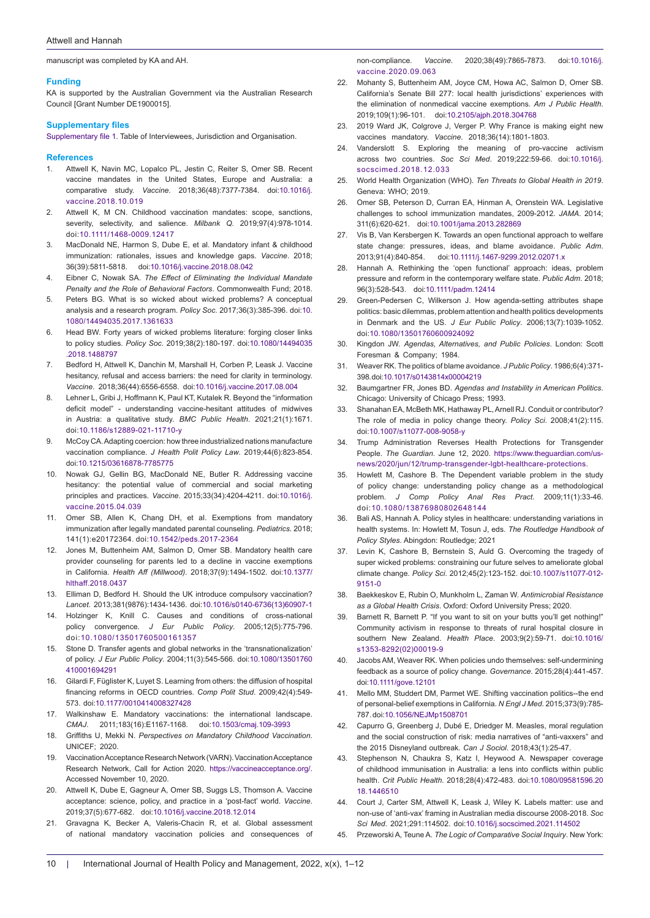manuscript was completed by KA and AH.

#### **Funding**

KA is supported by the Australian Government via the Australian Research Council [Grant Number DE1900015].

#### **Supplementary files**

<span id="page-9-0"></span>[Supplementary file 1](https://www.ijhpm.com/jufile?ar_sfile=59234). Table of Interviewees, Jurisdiction and Organisation.

#### **References**

- 1. Attwell K, Navin MC, Lopalco PL, Jestin C, Reiter S, Omer SB. Recent vaccine mandates in the United States, Europe and Australia: a comparative study. *Vaccine*. 2018;36(48):7377-7384. doi:[10.1016/j.](https://doi.org/10.1016/j.vaccine.2018.10.019) [vaccine.2018.10.019](https://doi.org/10.1016/j.vaccine.2018.10.019)
- 2. Attwell K, M CN, Childhood vaccination mandates: scope, sanctions, severity, selectivity, and salience. *Milbank Q*. 2019;97(4):978-1014. doi:[10.1111/1468-0009.12417](https://doi.org/10.1111/1468-0009.12417)
- 3. MacDonald NE, Harmon S, Dube E, et al. Mandatory infant & childhood immunization: rationales, issues and knowledge gaps. *Vaccine*. 2018; 36(39):5811-5818. doi:[10.1016/j.vaccine.2018.08.042](https://doi.org/10.1016/j.vaccine.2018.08.042)
- 4. Eibner C, Nowak SA. *The Effect of Eliminating the Individual Mandate Penalty and the Role of Behavioral Factors*. Commonwealth Fund; 2018.
- 5. Peters BG. What is so wicked about wicked problems? A conceptual analysis and a research program. *Policy Soc*. 2017;36(3):385-396. doi:[10.](https://doi.org/10.1080/14494035.2017.1361633) [1080/14494035.2017.1361633](https://doi.org/10.1080/14494035.2017.1361633)
- 6. Head BW. Forty years of wicked problems literature: forging closer links to policy studies. *Policy Soc*. 2019;38(2):180-197. doi:[10.1080/14494035](https://doi.org/10.1080/14494035.2018.1488797) [.2018.1488797](https://doi.org/10.1080/14494035.2018.1488797)
- 7. Bedford H, Attwell K, Danchin M, Marshall H, Corben P, Leask J. Vaccine hesitancy, refusal and access barriers: the need for clarity in terminology. *Vaccine*. 2018;36(44):6556-6558. doi:[10.1016/j.vaccine.2017.08.004](https://doi.org/10.1016/j.vaccine.2017.08.004)
- 8. Lehner L, Gribi J, Hoffmann K, Paul KT, Kutalek R. Beyond the "information deficit model" - understanding vaccine-hesitant attitudes of midwives in Austria: a qualitative study. *BMC Public Health*. 2021;21(1):1671. doi[:10.1186/s12889-021-11710-y](https://doi.org/10.1186/s12889-021-11710-y)
- 9. McCoy CA. Adapting coercion: how three industrialized nations manufacture vaccination compliance. *J Health Polit Policy Law*. 2019;44(6):823-854. doi:[10.1215/03616878-7785775](https://doi.org/10.1215/03616878-7785775)
- 10. Nowak GJ, Gellin BG, MacDonald NE, Butler R. Addressing vaccine hesitancy: the potential value of commercial and social marketing principles and practices. *Vaccine*. 2015;33(34):4204-4211. doi:[10.1016/j.](https://doi.org/10.1016/j.vaccine.2015.04.039) [vaccine.2015.04.039](https://doi.org/10.1016/j.vaccine.2015.04.039)
- 11. Omer SB, Allen K, Chang DH, et al. Exemptions from mandatory immunization after legally mandated parental counseling. *Pediatrics*. 2018; 141(1):e20172364. doi:[10.1542/peds.2017-2364](https://doi.org/10.1542/peds.2017-2364)
- 12. Jones M, Buttenheim AM, Salmon D, Omer SB. Mandatory health care provider counseling for parents led to a decline in vaccine exemptions in California. *Health Aff (Millwood)*. 2018;37(9):1494-1502. doi[:10.1377/](https://doi.org/10.1377/hlthaff.2018.0437) [hlthaff.2018.0437](https://doi.org/10.1377/hlthaff.2018.0437)
- 13. Elliman D, Bedford H. Should the UK introduce compulsory vaccination? *Lancet*. 2013;381(9876):1434-1436. doi[:10.1016/s0140-6736\(13\)60907-1](https://doi.org/10.1016/s0140-6736(13)60907-1)
- 14. Holzinger K, Knill C. Causes and conditions of cross-national policy convergence. *J Eur Public Policy*. 2005;12(5):775-796. doi:[10.1080/13501760500161357](https://doi.org/10.1080/13501760500161357)
- 15. Stone D. Transfer agents and global networks in the 'transnationalization' of policy. *J Eur Public Policy*. 2004;11(3):545-566. doi:[10.1080/13501760](https://doi.org/10.1080/13501760410001694291) [410001694291](https://doi.org/10.1080/13501760410001694291)
- 16. Gilardi F, Füglister K, Luyet S. Learning from others: the diffusion of hospital financing reforms in OECD countries. *Comp Polit Stud*. 2009;42(4):549- 573. doi:[10.1177/0010414008327428](https://doi.org/10.1177/0010414008327428)
- 17. Walkinshaw E. Mandatory vaccinations: the international landscape. *CMAJ*. 2011;183(16):E1167-1168. doi:[10.1503/cmaj.109-3993](https://doi.org/10.1503/cmaj.109-3993)
- 18. Griffiths U, Mekki N. *Perspectives on Mandatory Childhood Vaccination*. UNICEF; 2020.
- 19. Vaccination Acceptance Research Network (VARN). Vaccination Acceptance Research Network, Call for Action 2020. <https://vaccineacceptance.org/>. Accessed November 10, 2020.
- 20. Attwell K, Dube E, Gagneur A, Omer SB, Suggs LS, Thomson A. Vaccine acceptance: science, policy, and practice in a 'post-fact' world. *Vaccine*. 2019;37(5):677-682. doi[:10.1016/j.vaccine.2018.12.014](https://doi.org/10.1016/j.vaccine.2018.12.014)
- 21. Gravagna K, Becker A, Valeris-Chacin R, et al. Global assessment of national mandatory vaccination policies and consequences of

non-compliance. *Vaccine*. 2020;38(49):7865-7873. doi[:10.1016/j.](https://doi.org/10.1016/j.vaccine.2020.09.063) [vaccine.2020.09.063](https://doi.org/10.1016/j.vaccine.2020.09.063)

- Mohanty S, Buttenheim AM, Joyce CM, Howa AC, Salmon D, Omer SB. California's Senate Bill 277: local health jurisdictions' experiences with the elimination of nonmedical vaccine exemptions. *Am J Public Health*. 2019;109(1):96-101. doi:[10.2105/ajph.2018.304768](https://doi.org/10.2105/ajph.2018.304768)
- 23. 2019 Ward JK, Colgrove J, Verger P. Why France is making eight new vaccines mandatory. *Vaccine*. 2018;36(14):1801-1803.
- 24. Vanderslott S. Exploring the meaning of pro-vaccine activism across two countries. *Soc Sci Med*. 2019;222:59-66. doi[:10.1016/j.](https://doi.org/10.1016/j.socscimed.2018.12.033) [socscimed.2018.12.033](https://doi.org/10.1016/j.socscimed.2018.12.033)
- 25. World Health Organization (WHO). *Ten Threats to Global Health in 2019*. Geneva: WHO; 2019.
- 26. Omer SB, Peterson D, Curran EA, Hinman A, Orenstein WA. Legislative challenges to school immunization mandates, 2009-2012. *JAMA*. 2014; 311(6):620-621. doi[:10.1001/jama.2013.282869](https://doi.org/10.1001/jama.2013.282869)
- 27. Vis B, Van Kersbergen K. Towards an open functional approach to welfare state change: pressures, ideas, and blame avoidance. *Public Adm*. 2013;91(4):840-854. doi[:10.1111/j.1467-9299.2012.02071.x](https://doi.org/10.1111/j.1467-9299.2012.02071.x)
- 28. Hannah A. Rethinking the 'open functional' approach: ideas, problem pressure and reform in the contemporary welfare state. *Public Adm*. 2018; 96(3):528-543. doi[:10.1111/padm.12414](https://doi.org/10.1111/padm.12414)
- 29. Green-Pedersen C, Wilkerson J. How agenda-setting attributes shape politics: basic dilemmas, problem attention and health politics developments in Denmark and the US. *J Eur Public Policy*. 2006;13(7):1039-1052. doi:[10.1080/13501760600924092](https://doi.org/10.1080/13501760600924092)
- 30. Kingdon JW. *Agendas, Alternatives, and Public Policies*. London: Scott Foresman & Company; 1984.
- 31. Weaver RK. The politics of blame avoidance. *J Public Policy*. 1986;6(4):371- 398. doi[:10.1017/s0143814x00004219](https://doi.org/10.1017/s0143814x00004219)
- 32. Baumgartner FR, Jones BD. *Agendas and Instability in American Politics*. Chicago: University of Chicago Press; 1993.
- 33. Shanahan EA, McBeth MK, Hathaway PL, Arnell RJ. Conduit or contributor? The role of media in policy change theory. *Policy Sci*. 2008;41(2):115. doi[:10.1007/s11077-008-9058-y](https://doi.org/10.1007/s11077-008-9058-y)
- 34. Trump Administration Reverses Health Protections for Transgender People. *The Guardian*. June 12, 2020. [https://www.theguardian.com/us](https://www.theguardian.com/us-news/2020/jun/12/trump-transgender-lgbt-healthcare-protections)[news/2020/jun/12/trump-transgender-lgbt-healthcare-protections.](https://www.theguardian.com/us-news/2020/jun/12/trump-transgender-lgbt-healthcare-protections)
- 35. Howlett M, Cashore B. The Dependent variable problem in the study of policy change: understanding policy change as a methodological problem. *J Comp Policy Anal Res Pract*. 2009;11(1):33-46. doi:[10.1080/13876980802648144](https://doi.org/10.1080/13876980802648144)
- 36. Bali AS, Hannah A. Policy styles in healthcare: understanding variations in health systems. In: Howlett M, Tosun J, eds. *The Routledge Handbook of Policy Styles*. Abingdon: Routledge; 2021
- 37. Levin K, Cashore B, Bernstein S, Auld G. Overcoming the tragedy of super wicked problems: constraining our future selves to ameliorate global climate change. *Policy Sci*. 2012;45(2):123-152. doi:[10.1007/s11077-012-](https://doi.org/10.1007/s11077-012-9151-0) [9151-0](https://doi.org/10.1007/s11077-012-9151-0)
- 38. Baekkeskov E, Rubin O, Munkholm L, Zaman W. *Antimicrobial Resistance as a Global Health Crisis*. Oxford: Oxford University Press; 2020.
- 39. Barnett R, Barnett P. "If you want to sit on your butts you'll get nothing!" Community activism in response to threats of rural hospital closure in southern New Zealand. *Health Place*. 2003;9(2):59-71. doi:[10.1016/](https://doi.org/10.1016/s1353-8292(02)00019-9) [s1353-8292\(02\)00019-9](https://doi.org/10.1016/s1353-8292(02)00019-9)
- 40. Jacobs AM, Weaver RK. When policies undo themselves: self-undermining feedback as a source of policy change. *Governance*. 2015;28(4):441-457. doi[:10.1111/gove.12101](https://doi.org/10.1111/gove.12101)
- 41. Mello MM, Studdert DM, Parmet WE. Shifting vaccination politics--the end of personal-belief exemptions in California. *N Engl J Med*. 2015;373(9):785- 787. doi[:10.1056/NEJMp1508701](https://doi.org/10.1056/NEJMp1508701)
- 42. Capurro G, Greenberg J, Dubé E, Driedger M. Measles, moral regulation and the social construction of risk: media narratives of "anti-vaxxers" and the 2015 Disneyland outbreak. *Can J Sociol*. 2018;43(1):25-47.
- 43. Stephenson N, Chaukra S, Katz I, Heywood A. Newspaper coverage of childhood immunisation in Australia: a lens into conflicts within public health. *Crit Public Health*. 2018;28(4):472-483. doi:[10.1080/09581596.20](https://doi.org/10.1080/09581596.2018.1446510) [18.1446510](https://doi.org/10.1080/09581596.2018.1446510)
- 44. Court J, Carter SM, Attwell K, Leask J, Wiley K. Labels matter: use and non-use of 'anti-vax' framing in Australian media discourse 2008-2018. *Soc Sci Med*. 2021;291:114502. doi:[10.1016/j.socscimed.2021.114502](https://doi.org/10.1016/j.socscimed.2021.114502)
- 45. Przeworski A, Teune A. *The Logic of Comparative Social Inquiry*. New York: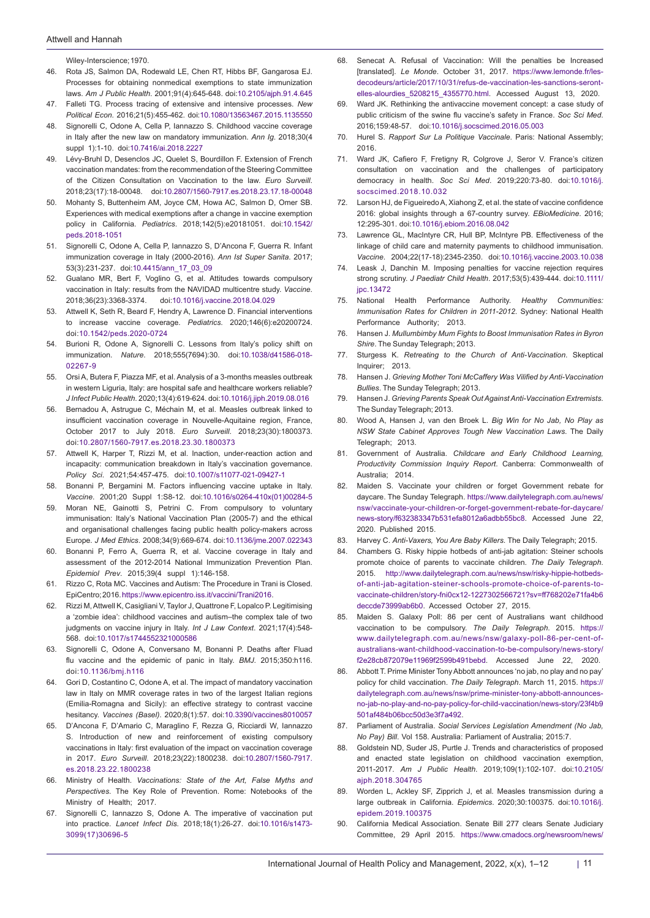Wiley-Interscience; 1970.

- 46. Rota JS, Salmon DA, Rodewald LE, Chen RT, Hibbs BF, Gangarosa EJ. Processes for obtaining nonmedical exemptions to state immunization laws. *Am J Public Health*. 2001;91(4):645-648. doi:[10.2105/ajph.91.4.645](https://doi.org/10.2105/ajph.91.4.645)
- 47. Falleti TG. Process tracing of extensive and intensive processes. *New Political Econ*. 2016;21(5):455-462. doi[:10.1080/13563467.2015.1135550](https://doi.org/10.1080/13563467.2015.1135550)
- 48. Signorelli C, Odone A, Cella P, Iannazzo S. Childhood vaccine coverage in Italy after the new law on mandatory immunization. *Ann Ig*. 2018;30(4 suppl 1):1-10. doi[:10.7416/ai.2018.2227](https://doi.org/10.7416/ai.2018.2227)
- 49. Lévy-Bruhl D, Desenclos JC, Quelet S, Bourdillon F. Extension of French vaccination mandates: from the recommendation of the Steering Committee of the Citizen Consultation on Vaccination to the law. *Euro Surveill*. 2018;23(17):18-00048. doi:[10.2807/1560-7917.es.2018.23.17.18-00048](https://doi.org/10.2807/1560-7917.es.2018.23.17.18-00048)
- 50. Mohanty S, Buttenheim AM, Joyce CM, Howa AC, Salmon D, Omer SB. Experiences with medical exemptions after a change in vaccine exemption policy in California. *Pediatrics*. 2018;142(5):e20181051. doi[:10.1542/](https://doi.org/10.1542/peds.2018-1051) [peds.2018-1051](https://doi.org/10.1542/peds.2018-1051)
- 51. Signorelli C, Odone A, Cella P, Iannazzo S, D'Ancona F, Guerra R. Infant immunization coverage in Italy (2000-2016). *Ann Ist Super Sanita*. 2017; 53(3):231-237. doi:[10.4415/ann\\_17\\_03\\_09](https://doi.org/10.4415/ann_17_03_09)
- 52. Gualano MR, Bert F, Voglino G, et al. Attitudes towards compulsory vaccination in Italy: results from the NAVIDAD multicentre study. *Vaccine*. 2018;36(23):3368-3374. doi:[10.1016/j.vaccine.2018.04.029](https://doi.org/10.1016/j.vaccine.2018.04.029)
- 53. Attwell K, Seth R, Beard F, Hendry A, Lawrence D. Financial interventions to increase vaccine coverage. *Pediatrics*. 2020;146(6):e20200724. doi[:10.1542/peds.2020-0724](https://doi.org/10.1542/peds.2020-0724)
- 54. Burioni R, Odone A, Signorelli C. Lessons from Italy's policy shift on immunization. *Nature*. 2018;555(7694):30. doi[:10.1038/d41586-018-](https://doi.org/10.1038/d41586-018-02267-9) [02267-9](https://doi.org/10.1038/d41586-018-02267-9)
- 55. Orsi A, Butera F, Piazza MF, et al. Analysis of a 3-months measles outbreak in western Liguria, Italy: are hospital safe and healthcare workers reliable? *J Infect Public Health*. 2020;13(4):619-624. doi:[10.1016/j.jiph.2019.08.016](https://doi.org/10.1016/j.jiph.2019.08.016)
- 56. Bernadou A, Astrugue C, Méchain M, et al. Measles outbreak linked to insufficient vaccination coverage in Nouvelle-Aquitaine region, France, October 2017 to July 2018. *Euro Surveill*. 2018;23(30):1800373. doi:[10.2807/1560-7917.es.2018.23.30.1800373](https://doi.org/10.2807/1560-7917.es.2018.23.30.1800373)
- 57. Attwell K, Harper T, Rizzi M, et al. Inaction, under-reaction action and incapacity: communication breakdown in Italy's vaccination governance. *Policy Sci*. 2021;54:457-475. doi[:10.1007/s11077-021-09427-1](https://doi.org/10.1007/s11077-021-09427-1)
- 58. Bonanni P, Bergamini M. Factors influencing vaccine uptake in Italy. *Vaccine*. 2001;20 Suppl 1:S8-12. doi:[10.1016/s0264-410x\(01\)00284-5](https://doi.org/10.1016/s0264-410x(01)00284-5)
- 59. Moran NE, Gainotti S, Petrini C. From compulsory to voluntary immunisation: Italy's National Vaccination Plan (2005-7) and the ethical and organisational challenges facing public health policy-makers across Europe. *J Med Ethics*. 2008;34(9):669-674. doi:[10.1136/jme.2007.022343](https://doi.org/10.1136/jme.2007.022343)
- 60. Bonanni P, Ferro A, Guerra R, et al. Vaccine coverage in Italy and assessment of the 2012-2014 National Immunization Prevention Plan. *Epidemiol Prev*. 2015;39(4 suppl 1):146-158.
- 61. Rizzo C, Rota MC. Vaccines and Autism: The Procedure in Trani is Closed. EpiCentro; 2016. [https://www.epicentro.iss.it/vaccini/Trani2016.](https://www.epicentro.iss.it/vaccini/Trani2016)
- 62. Rizzi M, Attwell K, Casigliani V, Taylor J, Quattrone F, Lopalco P. Legitimising a 'zombie idea': childhood vaccines and autism–the complex tale of two judgments on vaccine injury in Italy. *Int J Law Context*. 2021;17(4):548- 568. doi:[10.1017/s1744552321000586](https://doi.org/10.1017/s1744552321000586)
- 63. Signorelli C, Odone A, Conversano M, Bonanni P. Deaths after Fluad flu vaccine and the epidemic of panic in Italy. *BMJ*. 2015;350:h116. doi:[10.1136/bmj.h116](https://doi.org/10.1136/bmj.h116)
- 64. Gori D, Costantino C, Odone A, et al. The impact of mandatory vaccination law in Italy on MMR coverage rates in two of the largest Italian regions (Emilia-Romagna and Sicily): an effective strategy to contrast vaccine hesitancy. *Vaccines (Basel)*. 2020;8(1):57. doi:[10.3390/vaccines8010057](https://doi.org/10.3390/vaccines8010057)
- 65. D'Ancona F, D'Amario C, Maraglino F, Rezza G, Ricciardi W, Iannazzo S. Introduction of new and reinforcement of existing compulsory vaccinations in Italy: first evaluation of the impact on vaccination coverage in 2017. *Euro Surveill*. 2018;23(22):1800238. doi:[10.2807/1560-7917.](https://doi.org/10.2807/1560-7917.es.2018.23.22.1800238) [es.2018.23.22.1800238](https://doi.org/10.2807/1560-7917.es.2018.23.22.1800238)
- 66. Ministry of Health. *Vaccinations: State of the Art, False Myths and Perspectives*. The Key Role of Prevention. Rome: Notebooks of the Ministry of Health; 2017.
- 67. Signorelli C, Iannazzo S, Odone A. The imperative of vaccination put into practice. *Lancet Infect Dis*. 2018;18(1):26-27. doi[:10.1016/s1473-](https://doi.org/10.1016/s1473-3099(17)30696-5) [3099\(17\)30696-5](https://doi.org/10.1016/s1473-3099(17)30696-5)
- 68. Senecat A. Refusal of Vaccination: Will the penalties be Increased [translated]. *Le Monde*. October 31, 2017. [https://www.lemonde.fr/les](https://www.lemonde.fr/les-decodeurs/article/2017/10/31/refus-de-vaccination-les-sanctions-seront-elles-alourdies_5208215_4355770.html)[decodeurs/article/2017/10/31/refus-de-vaccination-les-sanctions-seront](https://www.lemonde.fr/les-decodeurs/article/2017/10/31/refus-de-vaccination-les-sanctions-seront-elles-alourdies_5208215_4355770.html)[elles-alourdies\\_5208215\\_4355770.html.](https://www.lemonde.fr/les-decodeurs/article/2017/10/31/refus-de-vaccination-les-sanctions-seront-elles-alourdies_5208215_4355770.html) Accessed August 13, 2020.
- 69. Ward JK. Rethinking the antivaccine movement concept: a case study of public criticism of the swine flu vaccine's safety in France. *Soc Sci Med*. 2016;159:48-57. doi:[10.1016/j.socscimed.2016.05.003](https://doi.org/10.1016/j.socscimed.2016.05.003)
- 70. Hurel S. *Rapport Sur La Politique Vaccinale*. Paris: National Assembly; 2016.
- 71. Ward JK, Cafiero F, Fretigny R, Colgrove J, Seror V. France's citizen consultation on vaccination and the challenges of participatory democracy in health. *Soc Sci Med*. 2019;220:73-80. doi[:10.1016/j.](https://doi.org/10.1016/j.socscimed.2018.10.032) [socscimed.2018.10.032](https://doi.org/10.1016/j.socscimed.2018.10.032)
- 72. Larson HJ, de Figueiredo A, Xiahong Z, et al. the state of vaccine confidence 2016: global insights through a 67-country survey. *EBioMedicine*. 2016; 12:295-301. doi:[10.1016/j.ebiom.2016.08.042](https://doi.org/10.1016/j.ebiom.2016.08.042)
- 73. Lawrence GL, MacIntyre CR, Hull BP, McIntyre PB. Effectiveness of the linkage of child care and maternity payments to childhood immunisation. *Vaccine*. 2004;22(17-18):2345-2350. doi:[10.1016/j.vaccine.2003.10.038](https://doi.org/10.1016/j.vaccine.2003.10.038)
- 74. Leask J, Danchin M. Imposing penalties for vaccine rejection requires strong scrutiny. *J Paediatr Child Health*. 2017;53(5):439-444. doi[:10.1111/](https://doi.org/10.1111/jpc.13472) [jpc.13472](https://doi.org/10.1111/jpc.13472)
- 75. National Health Performance Authority. *Healthy Communities: Immunisation Rates for Children in 2011-2012*. Sydney: National Health Performance Authority; 2013.
- 76. Hansen J. *Mullumbimby Mum Fights to Boost Immunisation Rates in Byron Shire*. The Sunday Telegraph; 2013.
- 77. Sturgess K. *Retreating to the Church of Anti-Vaccination*. Skeptical Inquirer; 2013.
- 78. Hansen J. *Grieving Mother Toni McCaffery Was Vilified by Anti-Vaccination Bullies*. The Sunday Telegraph; 2013.
- 79. Hansen J. *Grieving Parents Speak Out Against Anti-Vaccination Extremists*. The Sunday Telegraph; 2013.
- 80. Wood A, Hansen J, van den Broek L. *Big Win for No Jab, No Play as NSW State Cabinet Approves Tough New Vaccination Laws*. The Daily Telegraph; 2013.
- 81. Government of Australia. *Childcare and Early Childhood Learning, Productivity Commission Inquiry Report*. Canberra: Commonwealth of Australia; 2014.
- 82. Maiden S. Vaccinate your children or forget Government rebate for daycare. The Sunday Telegraph. [https://www.dailytelegraph.com.au/news/](https://www.dailytelegraph.com.au/news/nsw/vaccinate-your-children-or-forget-government-rebate-for-daycare/news-story/f632383347b531efa8012a6adbb55bc8) [nsw/vaccinate-your-children-or-forget-government-rebate-for-daycare/](https://www.dailytelegraph.com.au/news/nsw/vaccinate-your-children-or-forget-government-rebate-for-daycare/news-story/f632383347b531efa8012a6adbb55bc8) [news-story/f632383347b531efa8012a6adbb55bc8.](https://www.dailytelegraph.com.au/news/nsw/vaccinate-your-children-or-forget-government-rebate-for-daycare/news-story/f632383347b531efa8012a6adbb55bc8) Accessed June 22, 2020. Published 2015.
- 83. Harvey C. *Anti-Vaxers, You Are Baby Killers*. The Daily Telegraph; 2015.
- 84. Chambers G. Risky hippie hotbeds of anti-jab agitation: Steiner schools promote choice of parents to vaccinate children. *The Daily Telegraph*. 2015. [http://www.dailytelegraph.com.au/news/nsw/risky-hippie-hotbeds](http://www.dailytelegraph.com.au/news/nsw/risky-hippie-hotbeds-of-anti-jab-agitation-steiner-schools-promote-choice-of-parents-to-vaccinate-children/story-fni0cx12-1227302566721?sv=ff768202e71fa4b6deccde73999ab6b0)[of-anti-jab-agitation-steiner-schools-promote-choice-of-parents-to](http://www.dailytelegraph.com.au/news/nsw/risky-hippie-hotbeds-of-anti-jab-agitation-steiner-schools-promote-choice-of-parents-to-vaccinate-children/story-fni0cx12-1227302566721?sv=ff768202e71fa4b6deccde73999ab6b0)[vaccinate-children/story-fni0cx12-1227302566721?sv=ff768202e71fa4b6](http://www.dailytelegraph.com.au/news/nsw/risky-hippie-hotbeds-of-anti-jab-agitation-steiner-schools-promote-choice-of-parents-to-vaccinate-children/story-fni0cx12-1227302566721?sv=ff768202e71fa4b6deccde73999ab6b0) [deccde73999ab6b0.](http://www.dailytelegraph.com.au/news/nsw/risky-hippie-hotbeds-of-anti-jab-agitation-steiner-schools-promote-choice-of-parents-to-vaccinate-children/story-fni0cx12-1227302566721?sv=ff768202e71fa4b6deccde73999ab6b0) Accessed October 27, 2015.
- 85. Maiden S. Galaxy Poll: 86 per cent of Australians want childhood vaccination to be compulsory. *The Daily Telegraph*. 2015. [https://](https://www.dailytelegraph.com.au/news/nsw/galaxy-poll-86-per-cent-of-australians-want-childhood-vaccination-to-be-compulsory/news-story/f2e28cb872079e11969f2599b491bebd) [www.dailytelegraph.com.au/news/nsw/galaxy-poll-86-per-cent-of](https://www.dailytelegraph.com.au/news/nsw/galaxy-poll-86-per-cent-of-australians-want-childhood-vaccination-to-be-compulsory/news-story/f2e28cb872079e11969f2599b491bebd)[australians-want-childhood-vaccination-to-be-compulsory/news-story/](https://www.dailytelegraph.com.au/news/nsw/galaxy-poll-86-per-cent-of-australians-want-childhood-vaccination-to-be-compulsory/news-story/f2e28cb872079e11969f2599b491bebd) [f2e28cb872079e11969f2599b491bebd](https://www.dailytelegraph.com.au/news/nsw/galaxy-poll-86-per-cent-of-australians-want-childhood-vaccination-to-be-compulsory/news-story/f2e28cb872079e11969f2599b491bebd). Accessed June 22, 2020.
- 86. Abbott T. Prime Minister Tony Abbott announces 'no jab, no play and no pay' policy for child vaccination. *The Daily Telegraph*. March 11, 2015. [https://](https://dailytelegraph.com.au/news/nsw/prime-minister-tony-abbott-announces-no-jab-no-play-and-no-pay-policy-for-child-vaccination/news-story/23f4b9501af484b06bcc50d3e3f7a492) [dailytelegraph.com.au/news/nsw/prime-minister-tony-abbott-announces](https://dailytelegraph.com.au/news/nsw/prime-minister-tony-abbott-announces-no-jab-no-play-and-no-pay-policy-for-child-vaccination/news-story/23f4b9501af484b06bcc50d3e3f7a492)[no-jab-no-play-and-no-pay-policy-for-child-vaccination/news-story/23f4b9](https://dailytelegraph.com.au/news/nsw/prime-minister-tony-abbott-announces-no-jab-no-play-and-no-pay-policy-for-child-vaccination/news-story/23f4b9501af484b06bcc50d3e3f7a492) [501af484b06bcc50d3e3f7a492.](https://dailytelegraph.com.au/news/nsw/prime-minister-tony-abbott-announces-no-jab-no-play-and-no-pay-policy-for-child-vaccination/news-story/23f4b9501af484b06bcc50d3e3f7a492)
- 87. Parliament of Australia. *Social Services Legislation Amendment (No Jab, No Pay) Bill*. Vol 158. Australia: Parliament of Australia; 2015:7.
- 88. Goldstein ND, Suder JS, Purtle J. Trends and characteristics of proposed and enacted state legislation on childhood vaccination exemption, 2011-2017. *Am J Public Health*. 2019;109(1):102-107. doi:[10.2105/](https://doi.org/10.2105/ajph.2018.304765) [ajph.2018.304765](https://doi.org/10.2105/ajph.2018.304765)
- 89. Worden L, Ackley SF, Zipprich J, et al. Measles transmission during a large outbreak in California. *Epidemics*. 2020;30:100375. doi[:10.1016/j.](https://doi.org/10.1016/j.epidem.2019.100375) [epidem.2019.100375](https://doi.org/10.1016/j.epidem.2019.100375)
- 90. California Medical Association. Senate Bill 277 clears Senate Judiciary Committee, 29 April 2015. [https://www.cmadocs.org/newsroom/news/](https://www.cmadocs.org/newsroom/news/view/ArticleId/32506/Senate-Bill-277-clears-Senate-Judiciary-Committee)